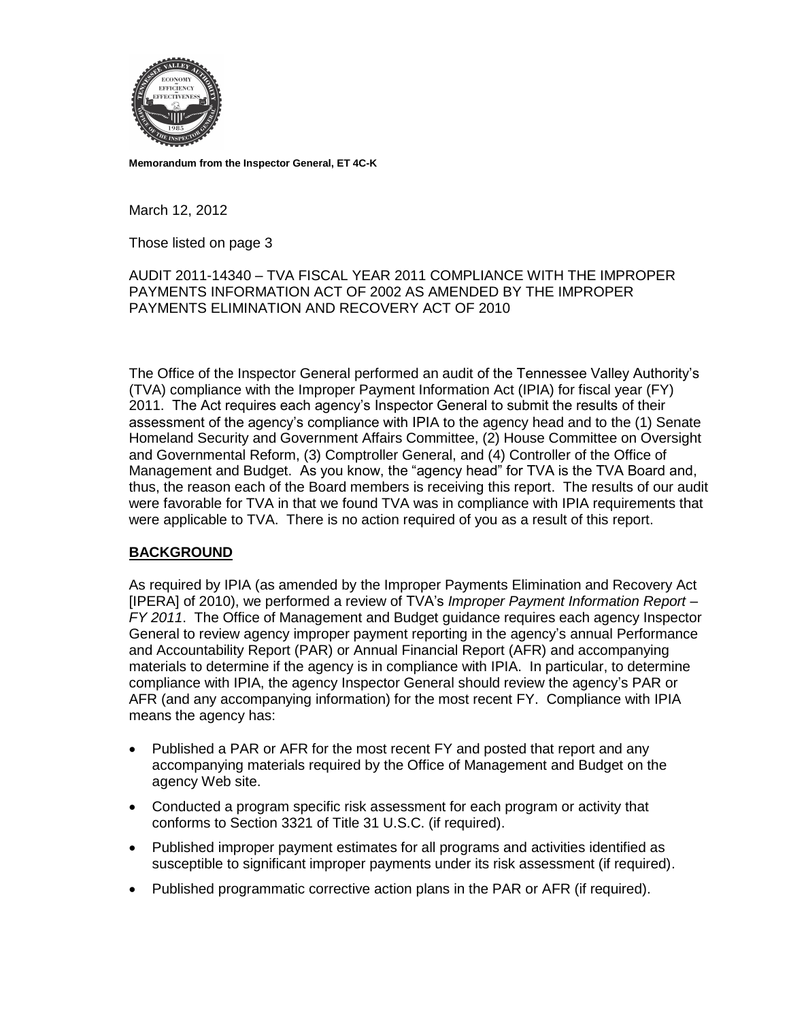

**Memorandum from the Inspector General, ET 4C-K**

March 12, 2012

Those listed on page 3

## AUDIT 2011-14340 – TVA FISCAL YEAR 2011 COMPLIANCE WITH THE IMPROPER PAYMENTS INFORMATION ACT OF 2002 AS AMENDED BY THE IMPROPER PAYMENTS ELIMINATION AND RECOVERY ACT OF 2010

The Office of the Inspector General performed an audit of the Tennessee Valley Authority's (TVA) compliance with the Improper Payment Information Act (IPIA) for fiscal year (FY) 2011. The Act requires each agency's Inspector General to submit the results of their assessment of the agency's compliance with IPIA to the agency head and to the (1) Senate Homeland Security and Government Affairs Committee, (2) House Committee on Oversight and Governmental Reform, (3) Comptroller General, and (4) Controller of the Office of Management and Budget. As you know, the "agency head" for TVA is the TVA Board and, thus, the reason each of the Board members is receiving this report. The results of our audit were favorable for TVA in that we found TVA was in compliance with IPIA requirements that were applicable to TVA. There is no action required of you as a result of this report.

## **BACKGROUND**

As required by IPIA (as amended by the Improper Payments Elimination and Recovery Act [IPERA] of 2010), we performed a review of TVA's *Improper Payment Information Report – FY 2011*. The Office of Management and Budget guidance requires each agency Inspector General to review agency improper payment reporting in the agency's annual Performance and Accountability Report (PAR) or Annual Financial Report (AFR) and accompanying materials to determine if the agency is in compliance with IPIA. In particular, to determine compliance with IPIA, the agency Inspector General should review the agency's PAR or AFR (and any accompanying information) for the most recent FY. Compliance with IPIA means the agency has:

- Published a PAR or AFR for the most recent FY and posted that report and any accompanying materials required by the Office of Management and Budget on the agency Web site.
- Conducted a program specific risk assessment for each program or activity that conforms to Section 3321 of Title 31 U.S.C. (if required).
- Published improper payment estimates for all programs and activities identified as susceptible to significant improper payments under its risk assessment (if required).
- Published programmatic corrective action plans in the PAR or AFR (if required).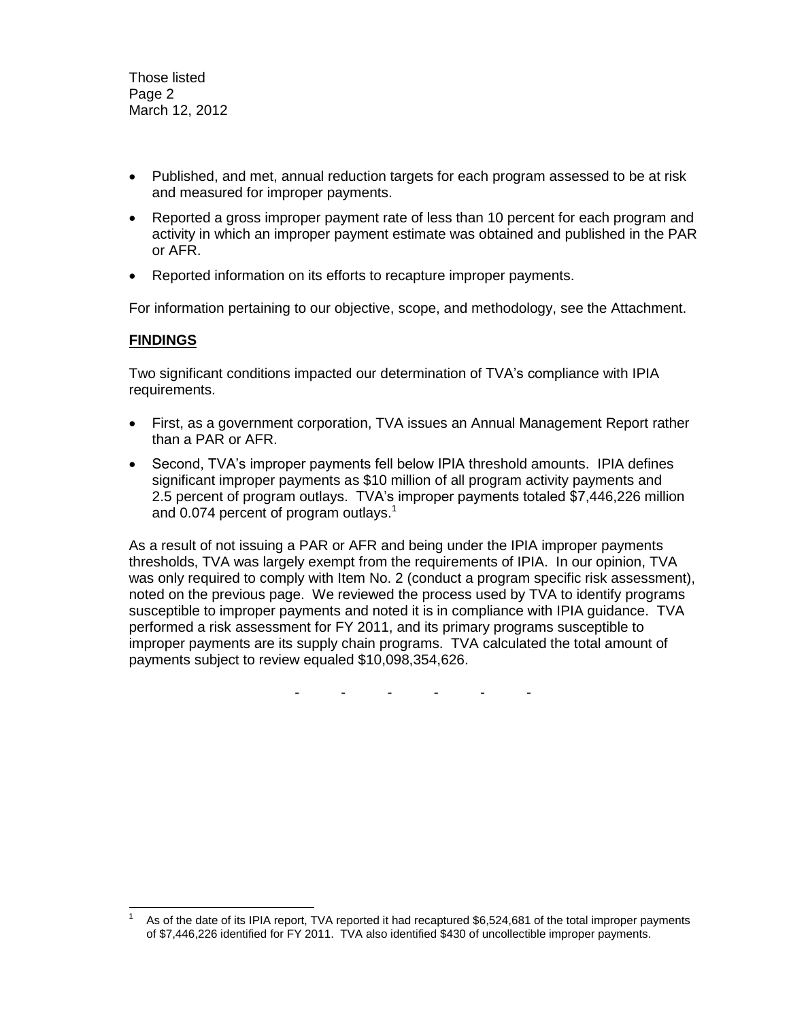Those listed Page 2 March 12, 2012

- Published, and met, annual reduction targets for each program assessed to be at risk and measured for improper payments.
- Reported a gross improper payment rate of less than 10 percent for each program and activity in which an improper payment estimate was obtained and published in the PAR or AFR.
- Reported information on its efforts to recapture improper payments.

For information pertaining to our objective, scope, and methodology, see the Attachment.

## **FINDINGS**

Two significant conditions impacted our determination of TVA's compliance with IPIA requirements.

- First, as a government corporation, TVA issues an Annual Management Report rather than a PAR or AFR.
- Second, TVA's improper payments fell below IPIA threshold amounts. IPIA defines significant improper payments as \$10 million of all program activity payments and 2.5 percent of program outlays. TVA's improper payments totaled \$7,446,226 million and 0.074 percent of program outlays.<sup>1</sup>

As a result of not issuing a PAR or AFR and being under the IPIA improper payments thresholds, TVA was largely exempt from the requirements of IPIA. In our opinion, TVA was only required to comply with Item No. 2 (conduct a program specific risk assessment), noted on the previous page. We reviewed the process used by TVA to identify programs susceptible to improper payments and noted it is in compliance with IPIA guidance. TVA performed a risk assessment for FY 2011, and its primary programs susceptible to improper payments are its supply chain programs. TVA calculated the total amount of payments subject to review equaled \$10,098,354,626.

- - - - - -

l 1 As of the date of its IPIA report, TVA reported it had recaptured \$6,524,681 of the total improper payments of \$7,446,226 identified for FY 2011. TVA also identified \$430 of uncollectible improper payments.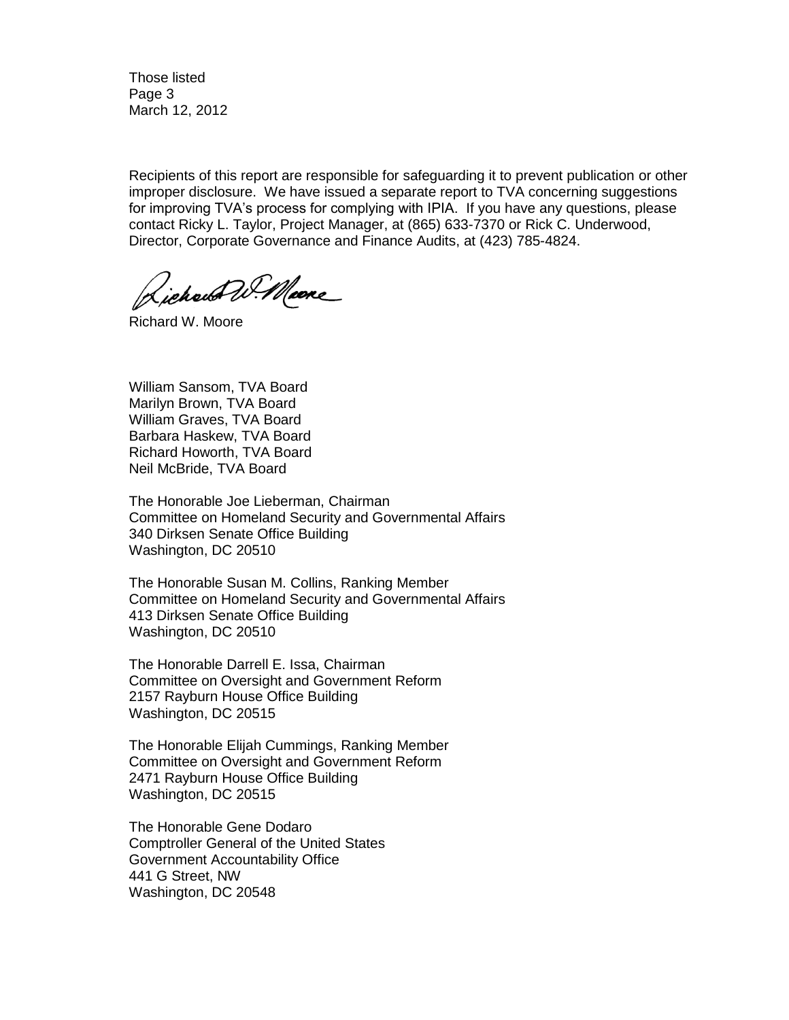Those listed Page 3 March 12, 2012

Recipients of this report are responsible for safeguarding it to prevent publication or other improper disclosure. We have issued a separate report to TVA concerning suggestions for improving TVA's process for complying with IPIA. If you have any questions, please contact Ricky L. Taylor, Project Manager, at (865) 633-7370 or Rick C. Underwood, Director, Corporate Governance and Finance Audits, at (423) 785-4824.

Lichaus W. Mare

Richard W. Moore

William Sansom, TVA Board Marilyn Brown, TVA Board William Graves, TVA Board Barbara Haskew, TVA Board Richard Howorth, TVA Board Neil McBride, TVA Board

The Honorable Joe Lieberman, Chairman Committee on Homeland Security and Governmental Affairs 340 Dirksen Senate Office Building Washington, DC 20510

The Honorable Susan M. Collins, Ranking Member Committee on Homeland Security and Governmental Affairs 413 Dirksen Senate Office Building Washington, DC 20510

The Honorable Darrell E. Issa, Chairman Committee on Oversight and Government Reform 2157 Rayburn House Office Building Washington, DC 20515

The Honorable Elijah Cummings, Ranking Member Committee on Oversight and Government Reform 2471 Rayburn House Office Building Washington, DC 20515

The Honorable Gene Dodaro Comptroller General of the United States Government Accountability Office 441 G Street, NW Washington, DC 20548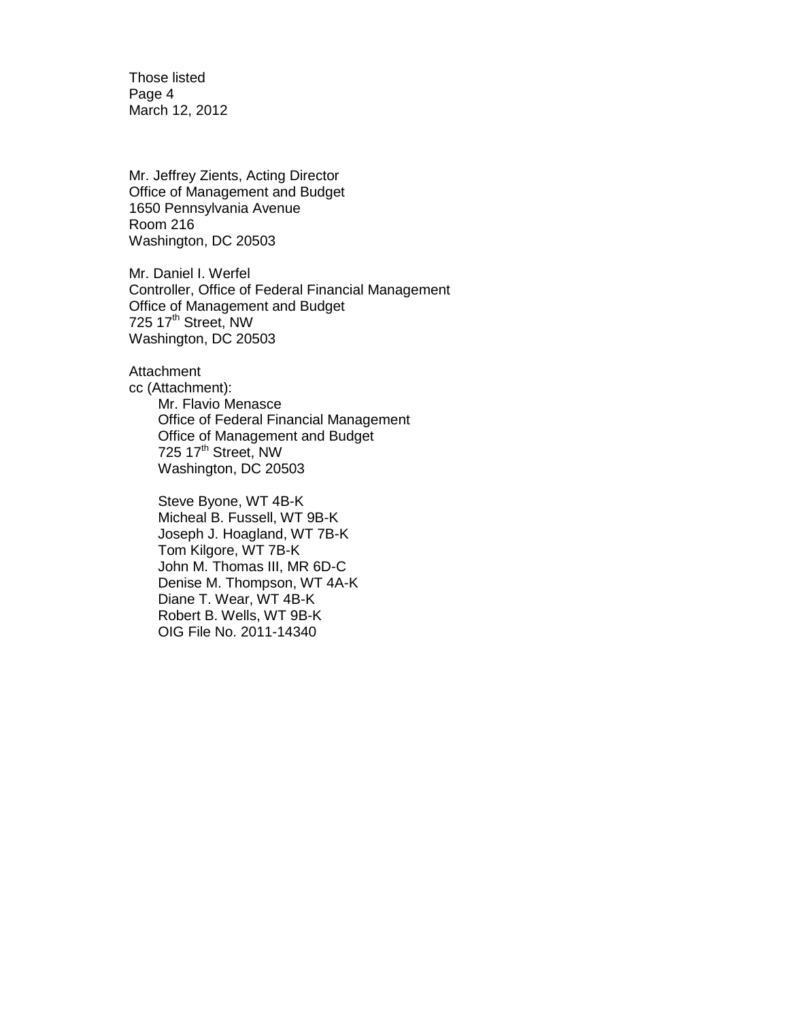Those listed Page 4 March 12, 2012

Mr. Jeffrey Zients, Acting Director Office of Management and Budget 1650 Pennsylvania Avenue Room 216 Washington, DC 20503

Mr. Daniel I. Werfel Controller, Office of Federal Financial Management Office of Management and Budget 725 17<sup>th</sup> Street, NW Washington, DC 20503

**Attachment** cc (Attachment): Mr. Flavio Menasce Office of Federal Financial Management Office of Management and Budget 725 17<sup>th</sup> Street, NW Washington, DC 20503

> Steve Byone, WT 4B-K Micheal B. Fussell, WT 9B-K Joseph J. Hoagland, WT 7B-K Tom Kilgore, WT 7B-K John M. Thomas III, MR 6D-C Denise M. Thompson, WT 4A-K Diane T. Wear, WT 4B-K Robert B. Wells, WT 9B-K OIG File No. 2011-14340